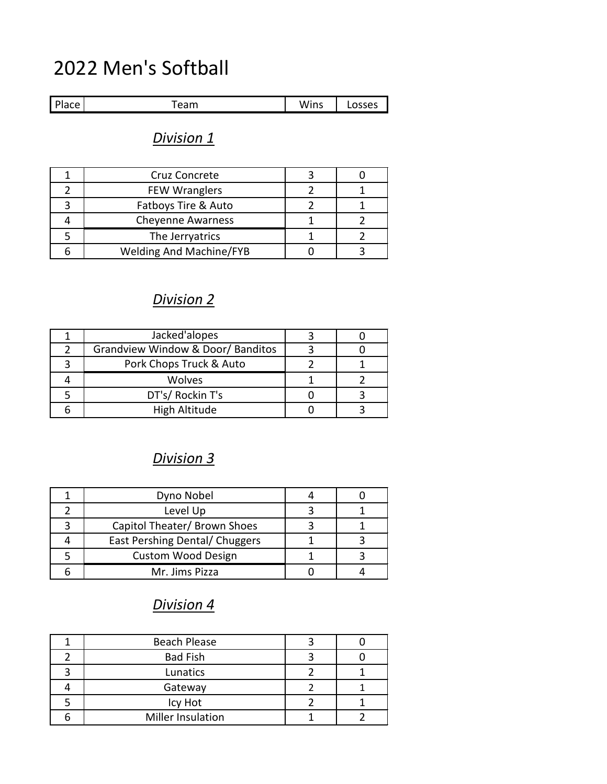# 2022 Men's Softball

| Place<br>uuu | $\sim$ $\sim$<br>-<br><u>cann</u> | <br>ıns<br>w<br>1111 J | 0.0000<br>. |
|--------------|-----------------------------------|------------------------|-------------|

# *Division 1*

| Cruz Concrete                  |  |
|--------------------------------|--|
| <b>FEW Wranglers</b>           |  |
| Fatboys Tire & Auto            |  |
| <b>Cheyenne Awarness</b>       |  |
| The Jerryatrics                |  |
| <b>Welding And Machine/FYB</b> |  |

# *Division 2*

| Jacked'alopes                     |  |
|-----------------------------------|--|
| Grandview Window & Door/ Banditos |  |
| Pork Chops Truck & Auto           |  |
| <b>Wolves</b>                     |  |
| DT's/ Rockin T's                  |  |
| High Altitude                     |  |

# *Division 3*

| Dyno Nobel                     |  |
|--------------------------------|--|
| Level Up                       |  |
| Capitol Theater/ Brown Shoes   |  |
| East Pershing Dental/ Chuggers |  |
| <b>Custom Wood Design</b>      |  |
| Mr. Jims Pizza                 |  |

# *Division 4*

| <b>Beach Please</b> |  |
|---------------------|--|
| <b>Bad Fish</b>     |  |
| Lunatics            |  |
| Gateway             |  |
| Icy Hot             |  |
| Miller Insulation   |  |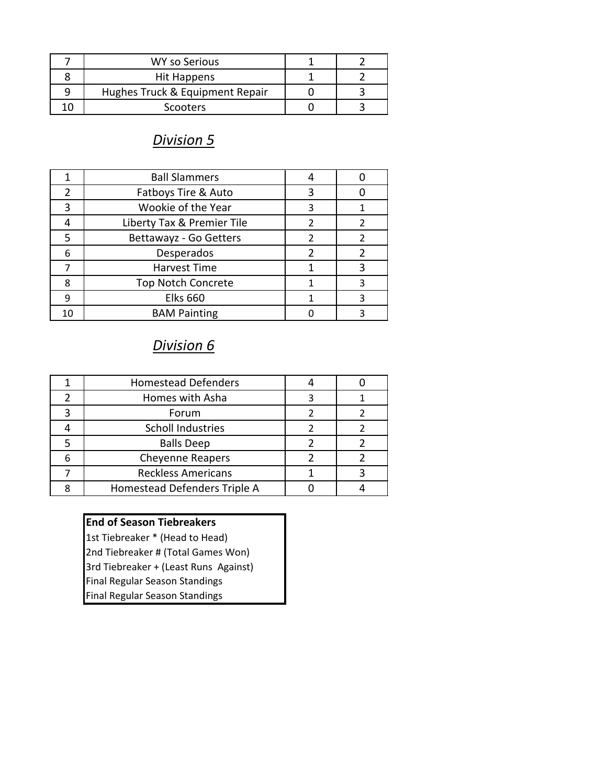| WY so Serious                   |  |
|---------------------------------|--|
| Hit Happens                     |  |
| Hughes Truck & Equipment Repair |  |
| Scooters                        |  |

#### *Division 5*

|    | <b>Ball Slammers</b>       |   |  |
|----|----------------------------|---|--|
| 2  | Fatboys Tire & Auto        | 3 |  |
| 3  | Wookie of the Year         | 3 |  |
|    | Liberty Tax & Premier Tile | 2 |  |
| 5  | Bettawayz - Go Getters     |   |  |
| 6  | Desperados                 | 2 |  |
|    | <b>Harvest Time</b>        |   |  |
| 8  | <b>Top Notch Concrete</b>  |   |  |
| 9  | <b>Elks 660</b>            |   |  |
| 10 | <b>BAM Painting</b>        |   |  |

### *Division 6*

|   | <b>Homestead Defenders</b>   |  |
|---|------------------------------|--|
| 2 | Homes with Asha              |  |
|   | Forum                        |  |
|   | <b>Scholl Industries</b>     |  |
|   | <b>Balls Deep</b>            |  |
| 6 | <b>Cheyenne Reapers</b>      |  |
|   | <b>Reckless Americans</b>    |  |
|   | Homestead Defenders Triple A |  |
|   |                              |  |

#### **End of Season Tiebreakers**

1st Tiebreaker \* (Head to Head) 2nd Tiebreaker # (Total Games Won) 3rd Tiebreaker + (Least Runs Against) Final Regular Season Standings Final Regular Season Standings